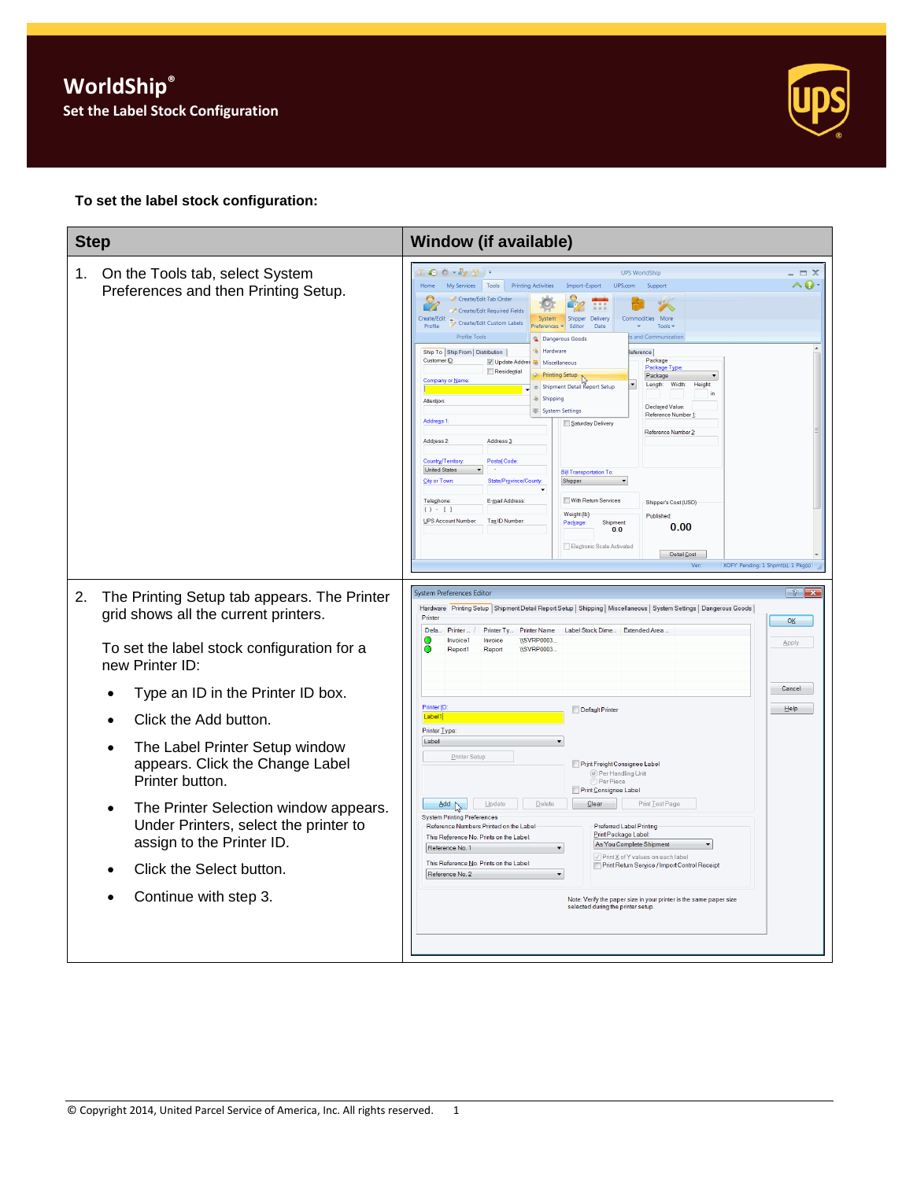

## **To set the label stock configuration:**

| <b>Step</b>                                                                                                                                                                                                                                                                                                                                                                                                                                                                                       | <b>Window (if available)</b>                                                                                                                                                                                                                                                                                                                                                                                                                                                                                                                                                                                                                                                                                                                                                                                                                                                                                                                                                                                                                                                                                                                                                                                                                                                                                                                                                                                                                                          |                                                        |
|---------------------------------------------------------------------------------------------------------------------------------------------------------------------------------------------------------------------------------------------------------------------------------------------------------------------------------------------------------------------------------------------------------------------------------------------------------------------------------------------------|-----------------------------------------------------------------------------------------------------------------------------------------------------------------------------------------------------------------------------------------------------------------------------------------------------------------------------------------------------------------------------------------------------------------------------------------------------------------------------------------------------------------------------------------------------------------------------------------------------------------------------------------------------------------------------------------------------------------------------------------------------------------------------------------------------------------------------------------------------------------------------------------------------------------------------------------------------------------------------------------------------------------------------------------------------------------------------------------------------------------------------------------------------------------------------------------------------------------------------------------------------------------------------------------------------------------------------------------------------------------------------------------------------------------------------------------------------------------------|--------------------------------------------------------|
| On the Tools tab, select System<br>1.<br>Preferences and then Printing Setup.                                                                                                                                                                                                                                                                                                                                                                                                                     | $\bullet$ $\bullet$ $\cdot$ $\bullet$ $\bullet$ $\bullet$ $\cdot$<br><b>UPS WorldShip</b><br>My Services Tools<br><b>Printing Activities</b><br>Import-Export<br>Home<br>UPS.com<br>Support<br>Create/Edit Tab Order<br>$\overline{\phantom{a}}$<br>Create/Edit Required Fields<br>Shipper Delivery<br>Commodities More<br>Create/Edit<br>System<br>Create/Edit Custom Labels<br>Profile<br>references v<br>Editor<br>Date<br>Tools *<br><b>Profile Tools</b><br>and Communicatio<br><b>Dangerous Goods</b><br><sup>+jk</sup> Hardware<br>Ship To Ship From   Distribution  <br>eference<br>Customer ID:<br>Package<br>V Update Addres & Miscellaneous<br>Package Type<br>Residential<br><b>Printing Setup</b><br>Package<br>Company or Nan<br>Length<br>Width<br>Heigh<br>Shipment Detail Report Setup<br>Shipping<br>Attention:<br>Declared Value<br>System Settings<br>Reference Number 1<br>Address <sub>1</sub><br>Saturday Delivery<br>Reference Number 2<br>Address <sub>2</sub><br>Address 3<br>Country/Territor<br><b>Postal Code</b><br><b>United States</b><br><b>Bill Transportation To</b><br>City or Town<br>State/Province/County<br>Shipper<br>With Return Services<br>Telephone:<br>E-mail Address:<br>Shipper's Cost (USD)<br>$() - []$<br>Weight (lb)<br>Published<br><b>UPS Account Number</b><br>Tax ID Number:<br>Shipment<br>Package:<br>0.00<br>0.0<br>Elegtronic Scale Activated<br>Detail Cost<br>XOFY Pending: 1 Shpmt(s), 1 Pkg(s)<br>Ver | $\Box$ $\times$<br>^0                                  |
| The Printing Setup tab appears. The Printer<br>2.<br>grid shows all the current printers.<br>To set the label stock configuration for a<br>new Printer ID:<br>Type an ID in the Printer ID box.<br>Click the Add button.<br>The Label Printer Setup window<br>appears. Click the Change Label<br>Printer button.<br>The Printer Selection window appears.<br>$\bullet$<br>Under Printers, select the printer to<br>assign to the Printer ID.<br>Click the Select button.<br>Continue with step 3. | <b>System Preferences Editor</b><br>Hardware Printing Setup Shipment Detail Report Setup   Shipping   Miscellaneous   System Settings   Dangerous Goods  <br>Printer<br>Defa.<br>Printer<br>Label Stock Dime Extended Area<br>Printer Ty.<br><b>Printer Name</b><br><b>IISVRP0003</b><br>Invoice1<br>Invoice<br>Report1<br>Report<br><b>IISVRP0003</b><br>Printer ID:<br>Default Printer<br>Label1<br>Printer Type:<br>Label<br>Printer Setup<br>Print Freight Consignee Label<br>Per Handling Unit<br>Per Piece<br>Print Consignee Label<br>Delete<br>Print Test Page<br>$\triangle$ dd<br>Update<br>Clear<br><b>System Printing Preferences</b><br>Reference Numbers Printed on the Label<br>Preferred Label Printing<br>Print Package Label:<br>This Reference No. Prints on the Label:<br>As You Complete Shipment<br>Reference No. 1<br>▼<br>√ Print X of Y values on each label<br>This Reference No. Prints on the Label:<br>Print Return Service / Import Control Receipt<br>Reference No. 2<br>Note: Verify the paper size in your printer is the same paper size<br>selected during the printer setup                                                                                                                                                                                                                                                                                                                                                       | $\overline{8}$<br>l x<br>OK<br>Apply<br>Cancel<br>Help |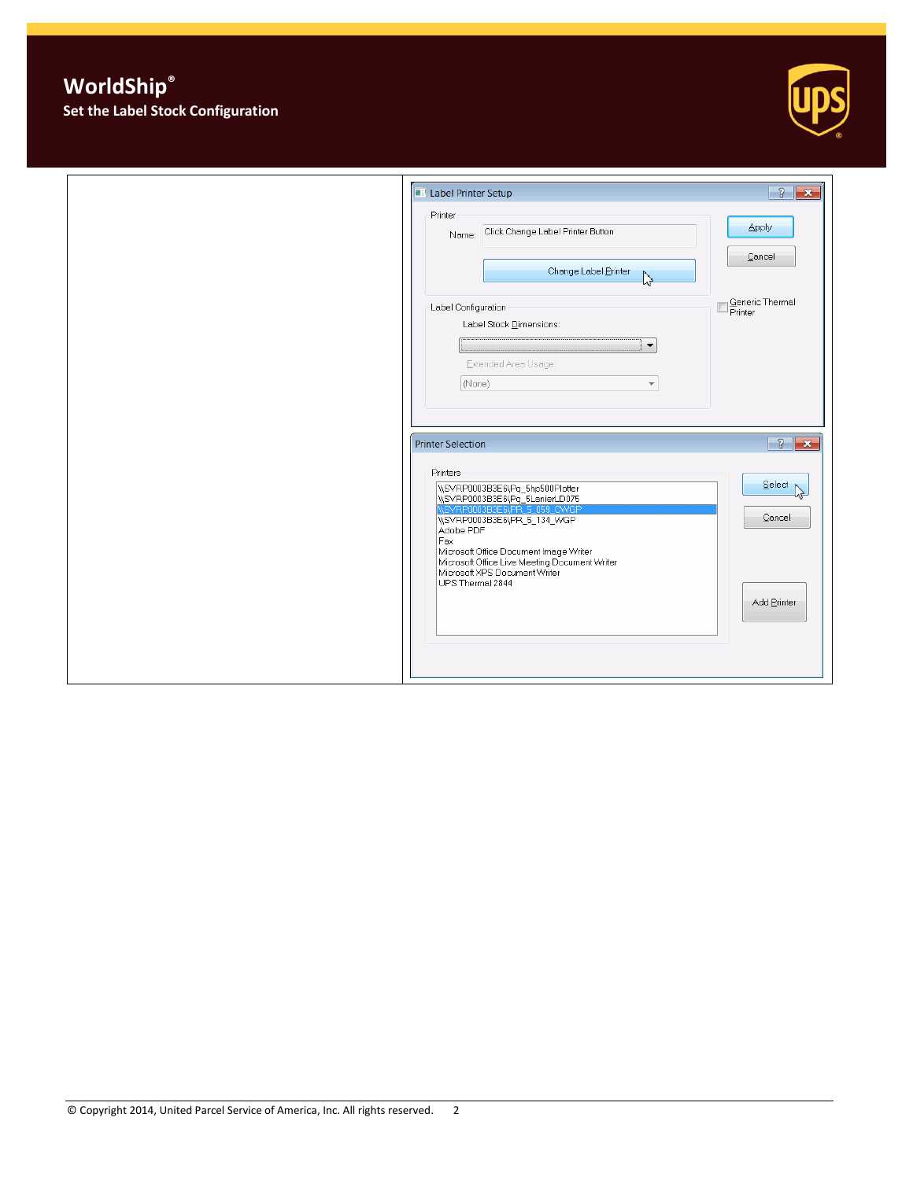## **WorldShip® Set the Label Stock Configuration**



| <b>EP Label Printer Setup</b>                                                                                                                                                                                                                                                                                   | $\sqrt{3}$<br>$\overline{\mathbf{x}}$                  |
|-----------------------------------------------------------------------------------------------------------------------------------------------------------------------------------------------------------------------------------------------------------------------------------------------------------------|--------------------------------------------------------|
| Printer<br>Click Change Label Printer Button<br>Name:                                                                                                                                                                                                                                                           | Apply                                                  |
| Change Label Printer<br>少                                                                                                                                                                                                                                                                                       | Cancel                                                 |
| Label Configuration<br>Label Stock Dimensions:<br>$\blacktriangledown$<br>Extended Area Usage:<br>(None)<br>$\overline{\phantom{a}}$                                                                                                                                                                            | Generic Thermal<br>$\overline{\mathsf{P}}$ rinter<br>L |
| <b>Printer Selection</b>                                                                                                                                                                                                                                                                                        | $\sqrt{3}$<br>$\mathbf{x}$                             |
| Printers<br>\\SVRP0003B3E6\Pq_5hp500Plotter<br>\\SVRP0003B3E6\Pq_5LanierLD075<br>\\SVRP0003B3E6\PR_5_059_CWGP<br>WSVRP0003B3E6\PR_5_134_WGP<br>Adobe PDF<br>Fax<br>Microsoft Office Document Image Writer<br>Microsoft Office Live Meeting Document Writer<br>Microsoft XPS Document Writer<br>UPS Thermal 2844 | Select <sub>1</sub><br>Cancel<br>Add Printer           |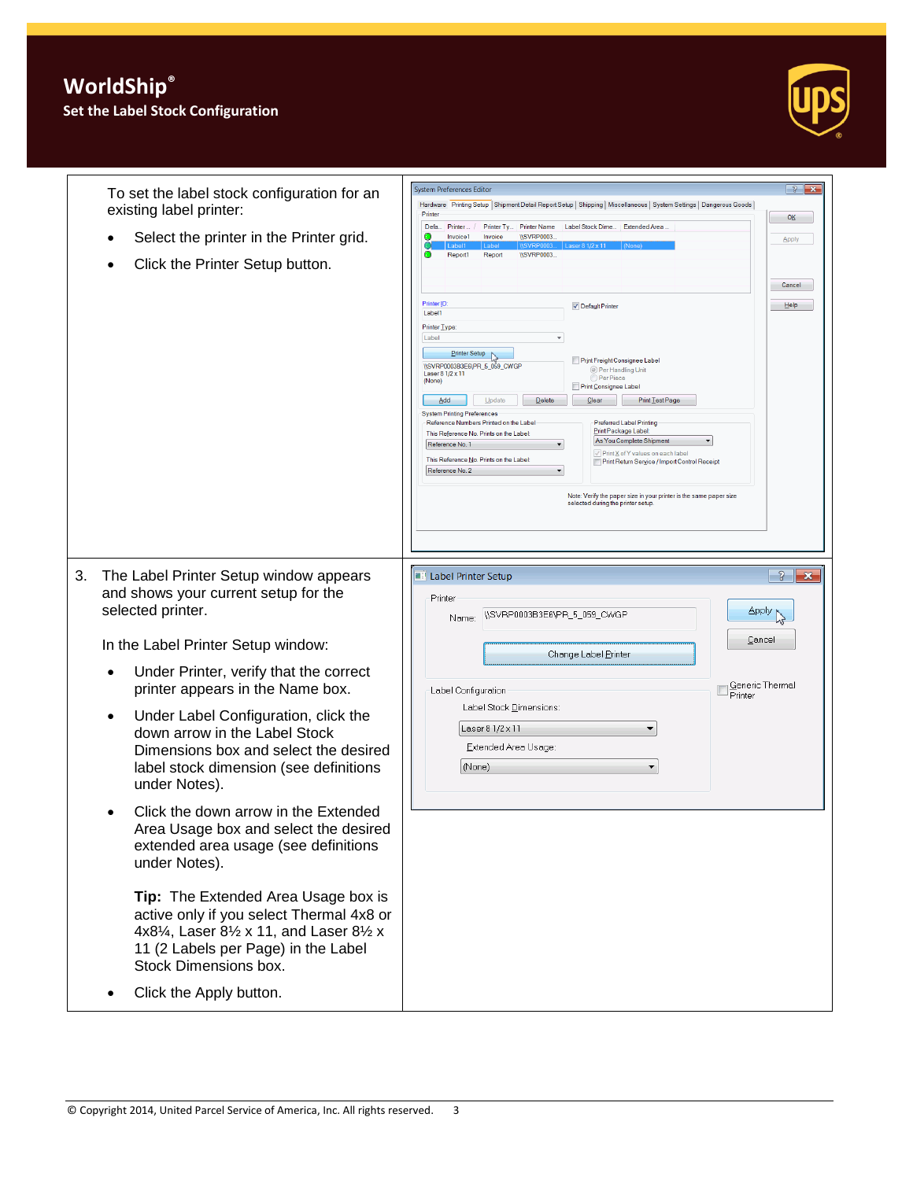

**System Preferences Edito** To set the label stock configuration for an Hardware Printing Setup Shipment Detail Report Setup Shipping | Miscellaneous | System Settings | Dangerous Goods | existing label printer: Printer  $OK$ Defa... Printer ... / Printer Ty... | Printer Name | Label Stock Dime ... | Extended Area Select the printer in the Printer grid. **Invoice1** Invoice WSVRP0003.<br>
Label1 Label WSVRP0003. Apply Report1 Report WSVRP0003 Click the Printer Setup button. Cancel Printer ID: Default Printer <u>Help -</u> Label1 Printer Type: Label Printer Setup<br>\\SVRP0003B3E6\PR\_5\_059\_CWGP<br>Laser 8 1/2 x 11<br>(None) Print Freight Consignee Label ◎ Per Handling Unit<br>◎ Per Piece Print Consignee Label Add Update Delete Clear Print Lest Page System Printing Preferences Preferred Label Printing Reference Numbers Printed on the Label Print Package Label This Reference No. Prints on the Label: As You Complete Shipment Reference No. 1 √ Print X of Y values on each label<br>● Print Return Service / Import Control Receipt This Reference No. Prints on the Label: Reference No. 2 Note: Verify the paper size in your printer is the same paper size<br>selected during the printer setup. **E** Label Printer Setup  $\frac{3}{8}$   $\overline{\mathbf{x}}$ 3. The Label Printer Setup window appears and shows your current setup for the Printer Apply A selected printer. Name: WSVRP0003B3E6VPR\_5\_059\_CWGP Cancel In the Label Printer Setup window: Change Label Printer Under Printer, verify that the correct Generic Thermal<br>Printer printer appears in the Name box. Label Configuration Label Stock Dimensions: Under Label Configuration, click the Laser 8 1/2 x 11  $\overline{\phantom{0}}$ down arrow in the Label Stock Extended Area Usage: Dimensions box and select the desired label stock dimension (see definitions (None)  $\blacktriangledown$ under Notes). • Click the down arrow in the Extended Area Usage box and select the desired extended area usage (see definitions under Notes). **Tip:** The Extended Area Usage box is active only if you select Thermal 4x8 or 4x8¼, Laser 8½ x 11, and Laser 8½ x 11 (2 Labels per Page) in the Label Stock Dimensions box. • Click the Apply button.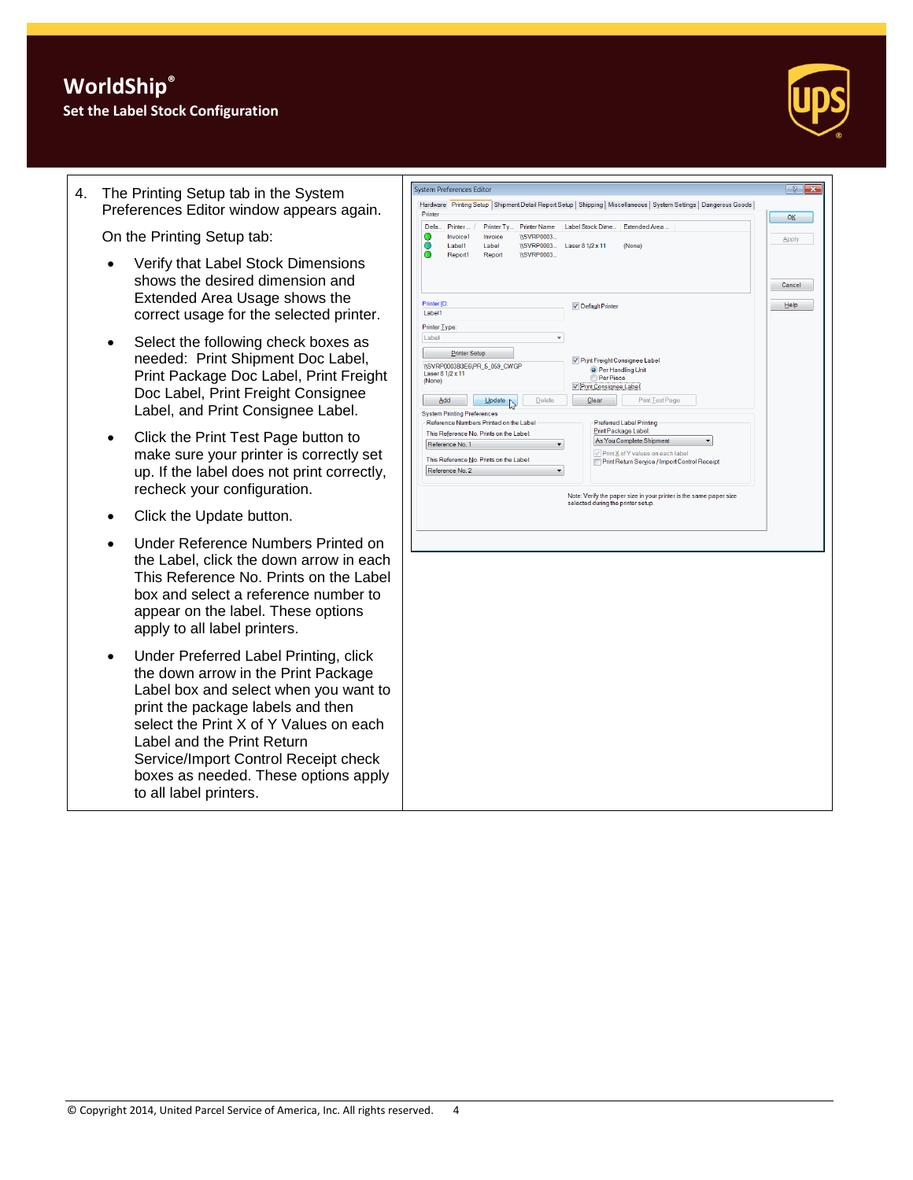

4. The Printing Setup tab in the System Preferences Editor window appears again.

On the Printing Setup tab:

- Verify that Label Stock Dimensions shows the desired dimension and Extended Area Usage shows the correct usage for the selected printer.
- Select the following check boxes as needed: Print Shipment Doc Label, Print Package Doc Label, Print Freight Doc Label, Print Freight Consignee Label, and Print Consignee Label.
- Click the Print Test Page button to make sure your printer is correctly set up. If the label does not print correctly, recheck your configuration.
- Click the Update button.
- Under Reference Numbers Printed on the Label, click the down arrow in each This Reference No. Prints on the Label box and select a reference number to appear on the label. These options apply to all label printers.
- Under Preferred Label Printing, click the down arrow in the Print Package Label box and select when you want to print the package labels and then select the Print X of Y Values on each Label and the Print Return Service/Import Control Receipt check boxes as needed. These options apply to all label printers.

| Defa Printer /<br>Printer Ty   Printer Name<br>Label Stock Dime   Extended Area<br><b>ISVRP0003</b><br>Invoice1<br>Invoice<br>c<br><b>Apply</b><br>Label1<br>Label<br><b>ISVRP0003</b><br>Laser 8 1/2 x 11<br>(None)<br>Report1<br><b>ISVRP0003</b><br>Report<br>Cancel<br>Printer ID:<br>Help<br>✔ Default Printer<br>Label1<br>Printer Type:<br>Label<br>$\overline{\phantom{a}}$<br>Printer Setup<br>Print Freight Consignee Label<br>\\SVRP0003B3E6\PR_5_059_CWGP<br><sup>O</sup> Per Handling Unit<br>Laser 8 1/2 x 11<br><b>Per Piece</b><br>(None)<br>V Print Consignee Label<br>Delete<br>Clear<br>Print Test Page<br>Add<br>Update<br><b>System Printing Preferences</b><br>Reference Numbers Printed on the Label<br>Preferred Label Printing<br>Print Package Label:<br>This Reference No. Prints on the Label:<br>As You Complete Shipment<br>$\overline{\phantom{a}}$<br>Reference No. 1<br>$\overline{\phantom{0}}$<br>Print X of Y values on each label<br>This Reference No. Prints on the Label:<br>Print Return Service / Import Control Receipt<br>Reference No. 2<br>▼<br>Note: Verify the paper size in your printer is the same paper size<br>selected during the printer setup. |  | Hardware Printing Setup Shipment Detail Report Setup   Shipping   Miscellaneous   System Settings   Dangerous Goods  <br>Printer |  |  |  | OK |
|--------------------------------------------------------------------------------------------------------------------------------------------------------------------------------------------------------------------------------------------------------------------------------------------------------------------------------------------------------------------------------------------------------------------------------------------------------------------------------------------------------------------------------------------------------------------------------------------------------------------------------------------------------------------------------------------------------------------------------------------------------------------------------------------------------------------------------------------------------------------------------------------------------------------------------------------------------------------------------------------------------------------------------------------------------------------------------------------------------------------------------------------------------------------------------------------------------|--|----------------------------------------------------------------------------------------------------------------------------------|--|--|--|----|
|                                                                                                                                                                                                                                                                                                                                                                                                                                                                                                                                                                                                                                                                                                                                                                                                                                                                                                                                                                                                                                                                                                                                                                                                        |  |                                                                                                                                  |  |  |  |    |
|                                                                                                                                                                                                                                                                                                                                                                                                                                                                                                                                                                                                                                                                                                                                                                                                                                                                                                                                                                                                                                                                                                                                                                                                        |  |                                                                                                                                  |  |  |  |    |
|                                                                                                                                                                                                                                                                                                                                                                                                                                                                                                                                                                                                                                                                                                                                                                                                                                                                                                                                                                                                                                                                                                                                                                                                        |  |                                                                                                                                  |  |  |  |    |
|                                                                                                                                                                                                                                                                                                                                                                                                                                                                                                                                                                                                                                                                                                                                                                                                                                                                                                                                                                                                                                                                                                                                                                                                        |  |                                                                                                                                  |  |  |  |    |
|                                                                                                                                                                                                                                                                                                                                                                                                                                                                                                                                                                                                                                                                                                                                                                                                                                                                                                                                                                                                                                                                                                                                                                                                        |  |                                                                                                                                  |  |  |  |    |
|                                                                                                                                                                                                                                                                                                                                                                                                                                                                                                                                                                                                                                                                                                                                                                                                                                                                                                                                                                                                                                                                                                                                                                                                        |  |                                                                                                                                  |  |  |  |    |
|                                                                                                                                                                                                                                                                                                                                                                                                                                                                                                                                                                                                                                                                                                                                                                                                                                                                                                                                                                                                                                                                                                                                                                                                        |  |                                                                                                                                  |  |  |  |    |
|                                                                                                                                                                                                                                                                                                                                                                                                                                                                                                                                                                                                                                                                                                                                                                                                                                                                                                                                                                                                                                                                                                                                                                                                        |  |                                                                                                                                  |  |  |  |    |
|                                                                                                                                                                                                                                                                                                                                                                                                                                                                                                                                                                                                                                                                                                                                                                                                                                                                                                                                                                                                                                                                                                                                                                                                        |  |                                                                                                                                  |  |  |  |    |
|                                                                                                                                                                                                                                                                                                                                                                                                                                                                                                                                                                                                                                                                                                                                                                                                                                                                                                                                                                                                                                                                                                                                                                                                        |  |                                                                                                                                  |  |  |  |    |
|                                                                                                                                                                                                                                                                                                                                                                                                                                                                                                                                                                                                                                                                                                                                                                                                                                                                                                                                                                                                                                                                                                                                                                                                        |  |                                                                                                                                  |  |  |  |    |
|                                                                                                                                                                                                                                                                                                                                                                                                                                                                                                                                                                                                                                                                                                                                                                                                                                                                                                                                                                                                                                                                                                                                                                                                        |  |                                                                                                                                  |  |  |  |    |
|                                                                                                                                                                                                                                                                                                                                                                                                                                                                                                                                                                                                                                                                                                                                                                                                                                                                                                                                                                                                                                                                                                                                                                                                        |  |                                                                                                                                  |  |  |  |    |
|                                                                                                                                                                                                                                                                                                                                                                                                                                                                                                                                                                                                                                                                                                                                                                                                                                                                                                                                                                                                                                                                                                                                                                                                        |  |                                                                                                                                  |  |  |  |    |
|                                                                                                                                                                                                                                                                                                                                                                                                                                                                                                                                                                                                                                                                                                                                                                                                                                                                                                                                                                                                                                                                                                                                                                                                        |  |                                                                                                                                  |  |  |  |    |
|                                                                                                                                                                                                                                                                                                                                                                                                                                                                                                                                                                                                                                                                                                                                                                                                                                                                                                                                                                                                                                                                                                                                                                                                        |  |                                                                                                                                  |  |  |  |    |
|                                                                                                                                                                                                                                                                                                                                                                                                                                                                                                                                                                                                                                                                                                                                                                                                                                                                                                                                                                                                                                                                                                                                                                                                        |  |                                                                                                                                  |  |  |  |    |
|                                                                                                                                                                                                                                                                                                                                                                                                                                                                                                                                                                                                                                                                                                                                                                                                                                                                                                                                                                                                                                                                                                                                                                                                        |  |                                                                                                                                  |  |  |  |    |
|                                                                                                                                                                                                                                                                                                                                                                                                                                                                                                                                                                                                                                                                                                                                                                                                                                                                                                                                                                                                                                                                                                                                                                                                        |  |                                                                                                                                  |  |  |  |    |
|                                                                                                                                                                                                                                                                                                                                                                                                                                                                                                                                                                                                                                                                                                                                                                                                                                                                                                                                                                                                                                                                                                                                                                                                        |  |                                                                                                                                  |  |  |  |    |
|                                                                                                                                                                                                                                                                                                                                                                                                                                                                                                                                                                                                                                                                                                                                                                                                                                                                                                                                                                                                                                                                                                                                                                                                        |  |                                                                                                                                  |  |  |  |    |
|                                                                                                                                                                                                                                                                                                                                                                                                                                                                                                                                                                                                                                                                                                                                                                                                                                                                                                                                                                                                                                                                                                                                                                                                        |  |                                                                                                                                  |  |  |  |    |
|                                                                                                                                                                                                                                                                                                                                                                                                                                                                                                                                                                                                                                                                                                                                                                                                                                                                                                                                                                                                                                                                                                                                                                                                        |  |                                                                                                                                  |  |  |  |    |
|                                                                                                                                                                                                                                                                                                                                                                                                                                                                                                                                                                                                                                                                                                                                                                                                                                                                                                                                                                                                                                                                                                                                                                                                        |  |                                                                                                                                  |  |  |  |    |
|                                                                                                                                                                                                                                                                                                                                                                                                                                                                                                                                                                                                                                                                                                                                                                                                                                                                                                                                                                                                                                                                                                                                                                                                        |  |                                                                                                                                  |  |  |  |    |
|                                                                                                                                                                                                                                                                                                                                                                                                                                                                                                                                                                                                                                                                                                                                                                                                                                                                                                                                                                                                                                                                                                                                                                                                        |  |                                                                                                                                  |  |  |  |    |
|                                                                                                                                                                                                                                                                                                                                                                                                                                                                                                                                                                                                                                                                                                                                                                                                                                                                                                                                                                                                                                                                                                                                                                                                        |  |                                                                                                                                  |  |  |  |    |
|                                                                                                                                                                                                                                                                                                                                                                                                                                                                                                                                                                                                                                                                                                                                                                                                                                                                                                                                                                                                                                                                                                                                                                                                        |  |                                                                                                                                  |  |  |  |    |
|                                                                                                                                                                                                                                                                                                                                                                                                                                                                                                                                                                                                                                                                                                                                                                                                                                                                                                                                                                                                                                                                                                                                                                                                        |  |                                                                                                                                  |  |  |  |    |
|                                                                                                                                                                                                                                                                                                                                                                                                                                                                                                                                                                                                                                                                                                                                                                                                                                                                                                                                                                                                                                                                                                                                                                                                        |  |                                                                                                                                  |  |  |  |    |
|                                                                                                                                                                                                                                                                                                                                                                                                                                                                                                                                                                                                                                                                                                                                                                                                                                                                                                                                                                                                                                                                                                                                                                                                        |  |                                                                                                                                  |  |  |  |    |
|                                                                                                                                                                                                                                                                                                                                                                                                                                                                                                                                                                                                                                                                                                                                                                                                                                                                                                                                                                                                                                                                                                                                                                                                        |  |                                                                                                                                  |  |  |  |    |
|                                                                                                                                                                                                                                                                                                                                                                                                                                                                                                                                                                                                                                                                                                                                                                                                                                                                                                                                                                                                                                                                                                                                                                                                        |  |                                                                                                                                  |  |  |  |    |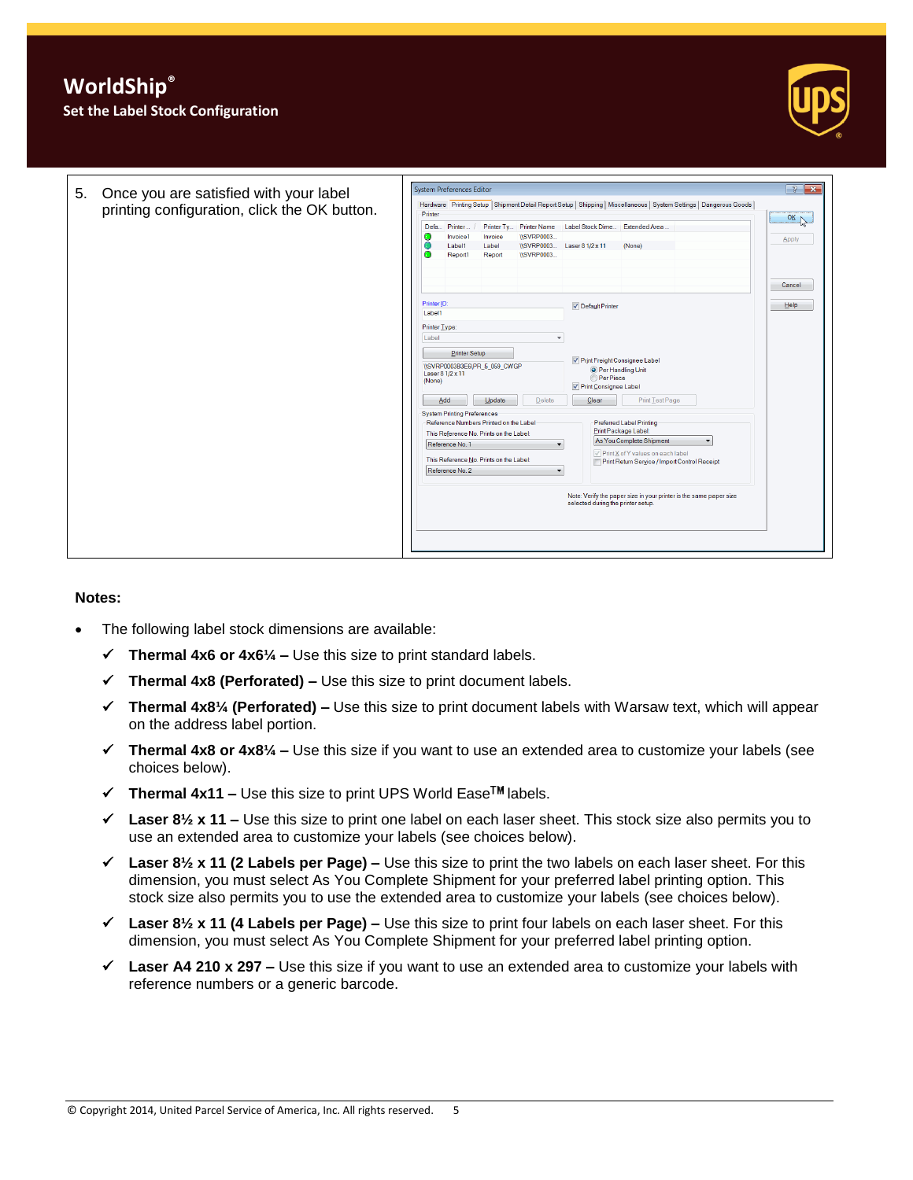

## **Notes:**

- The following label stock dimensions are available:
	- **Thermal 4x6 or 4x6¼ –** Use this size to print standard labels.
	- **Thermal 4x8 (Perforated) –** Use this size to print document labels.
	- **Thermal 4x8¼ (Perforated) –** Use this size to print document labels with Warsaw text, which will appear on the address label portion.
	- **Thermal 4x8 or 4x8¼ –** Use this size if you want to use an extended area to customize your labels (see choices below).
	- $\checkmark$  Thermal 4x11 Use this size to print UPS World Ease<sup>TM</sup> labels.
	- **Laser 8½ x 11 –** Use this size to print one label on each laser sheet. This stock size also permits you to use an extended area to customize your labels (see choices below).
	- **Laser 8½ x 11 (2 Labels per Page) –** Use this size to print the two labels on each laser sheet. For this dimension, you must select As You Complete Shipment for your preferred label printing option. This stock size also permits you to use the extended area to customize your labels (see choices below).
	- **Laser 8½ x 11 (4 Labels per Page) –** Use this size to print four labels on each laser sheet. For this dimension, you must select As You Complete Shipment for your preferred label printing option.
	- **Laser A4 210 x 297 –** Use this size if you want to use an extended area to customize your labels with reference numbers or a generic barcode.